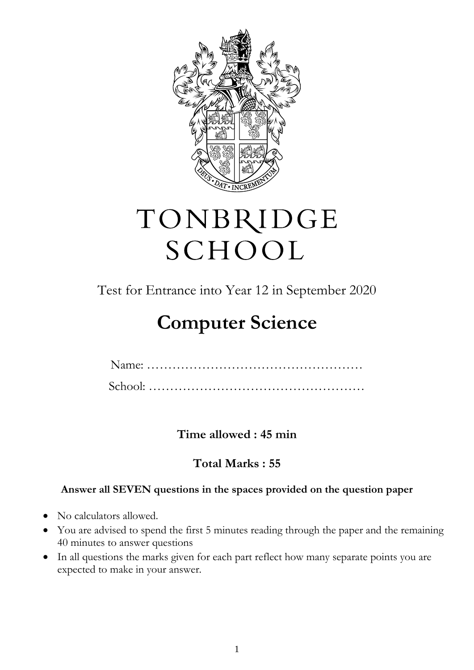

# TONBRIDGE SCHOOL

Test for Entrance into Year 12 in September 2020

# **Computer Science**

**Time allowed : 45 min** 

### **Total Marks : 55**

### **Answer all SEVEN questions in the spaces provided on the question paper**

- No calculators allowed.
- You are advised to spend the first 5 minutes reading through the paper and the remaining 40 minutes to answer questions
- In all questions the marks given for each part reflect how many separate points you are expected to make in your answer.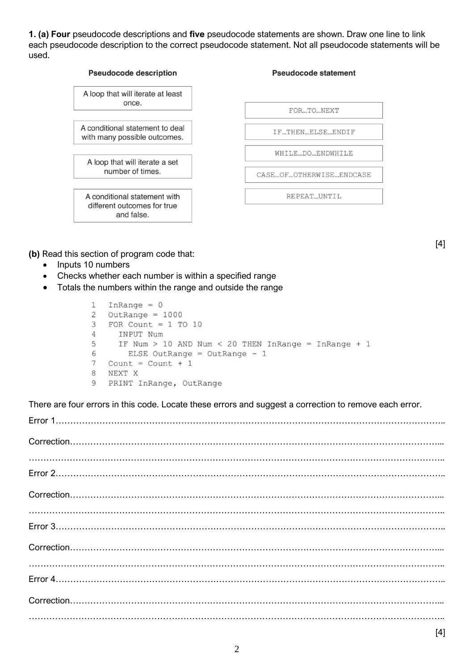**1. (a) Four** pseudocode descriptions and **five** pseudocode statements are shown. Draw one line to link each pseudocode description to the correct pseudocode statement. Not all pseudocode statements will be used.



**(b)** Read this section of program code that:

- Inputs 10 numbers
- Checks whether each number is within a specified range
- Totals the numbers within the range and outside the range

```
\mathbf{1}InRange = 0\overline{c}OutRange = 10003
   FOR Count = 1 TO 10
\overline{4}INPUT Num
      IF Num > 10 AND Num < 20 THEN InRange = InRange + 1
5
6
        ELSE OutRange = OutRange - 17
   Count = Count + 18
   NEXT X
   PRINT InRange, OutRange
9
```
There are four errors in this code. Locate these errors and suggest a correction to remove each error.

Error 1…………………………………………………………………………………………………………………….. Correction………………………………………………………………………………………………………………... …………………………………………………………………………………………………………………………….. Error 2…………………………………………………………………………………………………………………….. Correction………………………………………………………………………………………………………………... …………………………………………………………………………………………………………………………….. Error 3…………………………………………………………………………………………………………………….. Correction………………………………………………………………………………………………………………... Error 4…………………………………………………………………………………………………………………….. Correction………………………………………………………………………………………………………………... ……………………………………………………………………………………………………………………………..

[4]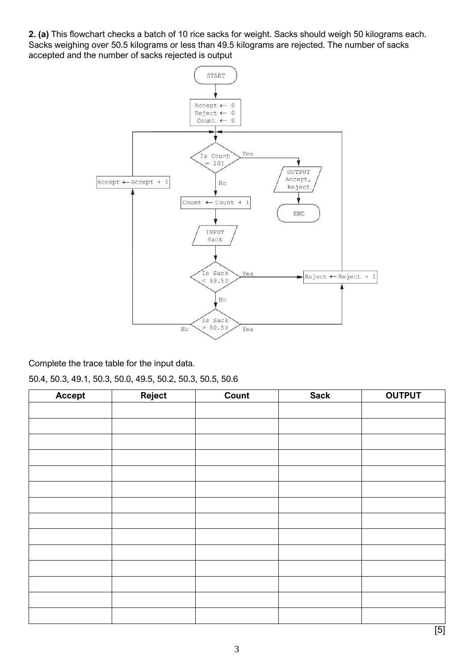**2. (a)** This flowchart checks a batch of 10 rice sacks for weight. Sacks should weigh 50 kilograms each. Sacks weighing over 50.5 kilograms or less than 49.5 kilograms are rejected. The number of sacks accepted and the number of sacks rejected is output



Complete the trace table for the input data.

50.4, 50.3, 49.1, 50.3, 50.0, 49.5, 50.2, 50.3, 50.5, 50.6

| Accept | Reject | Count | <b>Sack</b> | <b>OUTPUT</b> |
|--------|--------|-------|-------------|---------------|
|        |        |       |             |               |
|        |        |       |             |               |
|        |        |       |             |               |
|        |        |       |             |               |
|        |        |       |             |               |
|        |        |       |             |               |
|        |        |       |             |               |
|        |        |       |             |               |
|        |        |       |             |               |
|        |        |       |             |               |
|        |        |       |             |               |
|        |        |       |             |               |
|        |        |       |             |               |
|        |        |       |             |               |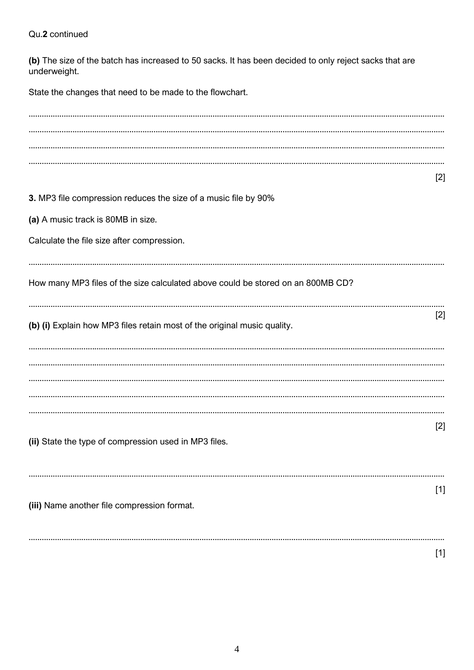#### Qu.2 continued

(b) The size of the batch has increased to 50 sacks. It has been decided to only reject sacks that are underweight.

State the changes that need to be made to the flowchart.

| $[2]$ |
|-------|
|       |
|       |
|       |
|       |
|       |
|       |
|       |
| $[2]$ |
|       |
|       |
|       |
|       |
|       |
| $[2]$ |
|       |
|       |
| $[1]$ |
|       |
|       |
| $[1]$ |
|       |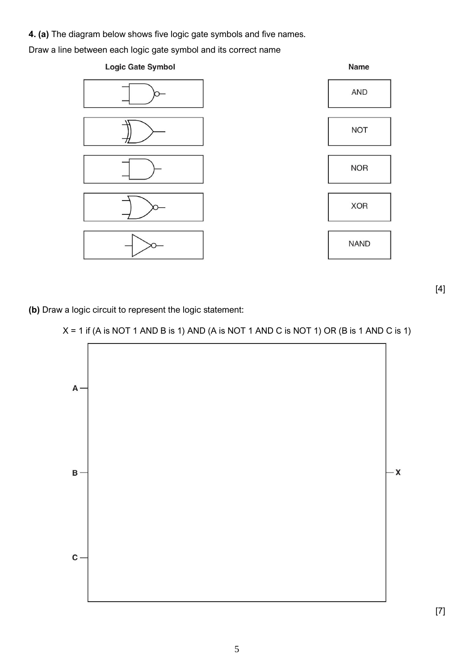**4. (a)** The diagram below shows five logic gate symbols and five names.

Draw a line between each logic gate symbol and its correct name



[4]

**(b)** Draw a logic circuit to represent the logic statement:

#### $X = 1$  if (A is NOT 1 AND B is 1) AND (A is NOT 1 AND C is NOT 1) OR (B is 1 AND C is 1)



[7]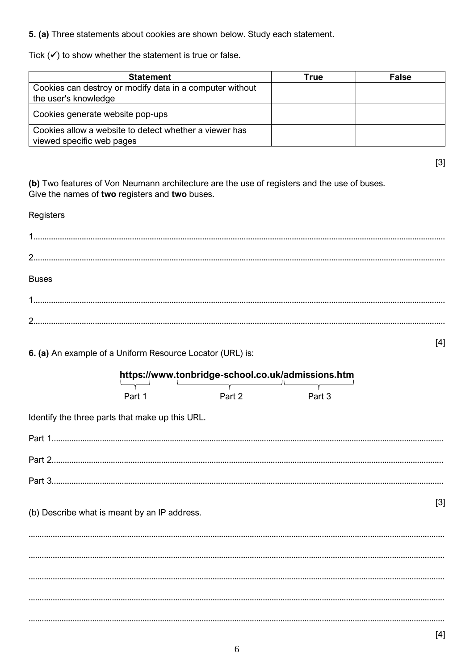5. (a) Three statements about cookies are shown below. Study each statement.

Tick  $(\checkmark)$  to show whether the statement is true or false.

| <b>Statement</b>                                                                    | True | <b>False</b> |
|-------------------------------------------------------------------------------------|------|--------------|
| Cookies can destroy or modify data in a computer without<br>the user's knowledge    |      |              |
| Cookies generate website pop-ups                                                    |      |              |
| Cookies allow a website to detect whether a viewer has<br>viewed specific web pages |      |              |

(b) Two features of Von Neumann architecture are the use of registers and the use of buses. Give the names of two registers and two buses.

## Registers **Buses**  $[4]$

6. (a) An example of a Uniform Resource Locator (URL) is:

|  | https://www.tonbridge-school.co.uk/admissions.htm |        |        |     |
|--|---------------------------------------------------|--------|--------|-----|
|  | Part 1                                            | Part 2 | Part 3 |     |
|  | Identify the three parts that make up this URL.   |        |        |     |
|  |                                                   |        |        |     |
|  |                                                   |        |        |     |
|  |                                                   |        |        |     |
|  | (b) Describe what is meant by an IP address.      |        |        | [3] |
|  |                                                   |        |        |     |
|  |                                                   |        |        |     |
|  |                                                   |        |        |     |
|  |                                                   |        |        |     |

 $[3]$